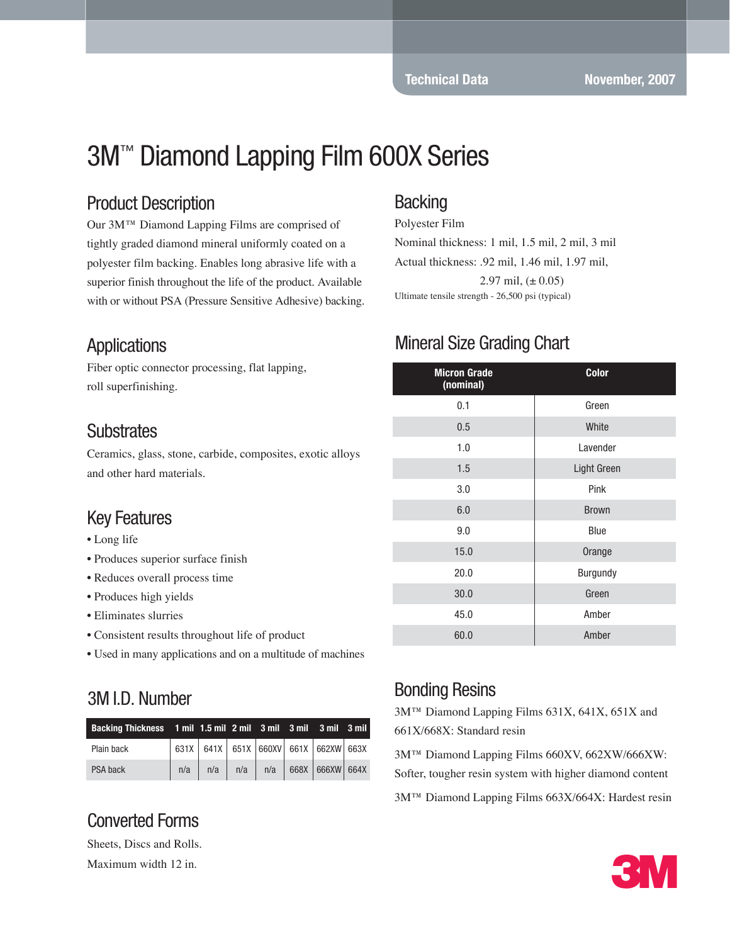# 3M™ Diamond Lapping Film 600X Series

#### Product Description

Our 3M™ Diamond Lapping Films are comprised of tightly graded diamond mineral uniformly coated on a polyester film backing. Enables long abrasive life with a superior finish throughout the life of the product. Available with or without PSA (Pressure Sensitive Adhesive) backing.

#### **Applications**

Fiber optic connector processing, flat lapping, roll superfinishing.

#### **Substrates**

Ceramics, glass, stone, carbide, composites, exotic alloys and other hard materials.

#### Key Features

- Long life
- Produces superior surface finish
- Reduces overall process time
- Produces high yields
- Eliminates slurries
- Consistent results throughout life of product
- Used in many applications and on a multitude of machines

#### 3M I.D. Number

| Backing Thickness 1 mil 1.5 mil 2 mil 3 mil 3 mil 3 mil 3 mil |  |  |                                                     |  |
|---------------------------------------------------------------|--|--|-----------------------------------------------------|--|
| Plain back                                                    |  |  | 631X 641X 651X 660XV 661X 662XW 663X                |  |
| PSA back                                                      |  |  | $n/a$   $n/a$   $n/a$   $n/a$   668X   666XW   664X |  |

# Converted Forms

Sheets, Discs and Rolls.

Maximum width 12 in.

#### **Backing**

Polyester Film Nominal thickness: 1 mil, 1.5 mil, 2 mil, 3 mil Actual thickness: .92 mil, 1.46 mil, 1.97 mil, 2.97 mil,  $(\pm 0.05)$ Ultimate tensile strength - 26,500 psi (typical)

## Mineral Size Grading Chart

| <b>Micron Grade</b><br>(nominal) | <b>Color</b> |  |  |  |
|----------------------------------|--------------|--|--|--|
| 0.1                              | Green        |  |  |  |
| 0.5                              | White        |  |  |  |
| 1.0                              | Lavender     |  |  |  |
| 1.5                              | Light Green  |  |  |  |
| 3.0                              | Pink         |  |  |  |
| 6.0                              | <b>Brown</b> |  |  |  |
| 9.0                              | Blue         |  |  |  |
| 15.0                             | Orange       |  |  |  |
| 20.0                             | Burgundy     |  |  |  |
| 30.0                             | Green        |  |  |  |
| 45.0                             | Amber        |  |  |  |
| 60.0                             | Amber        |  |  |  |

# Bonding Resins

3M™ Diamond Lapping Films 631X, 641X, 651X and 661X/668X: Standard resin

3M™ Diamond Lapping Films 660XV, 662XW/666XW: Softer, tougher resin system with higher diamond content

3M™ Diamond Lapping Films 663X/664X: Hardest resin